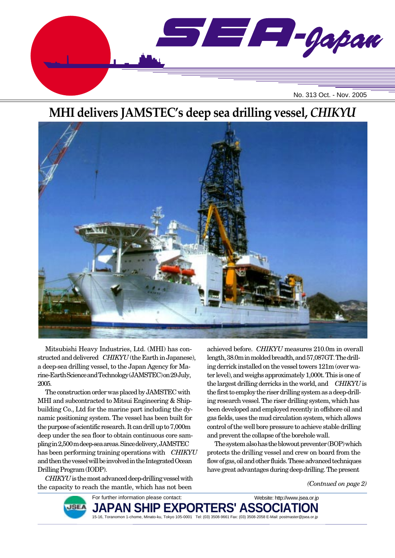

# **MHI delivers JAMSTEC's deep sea drilling vessel,** *CHIKYU*



Mitsubishi Heavy Industries, Ltd. (MHI) has constructed and delivered *CHIKYU* (the Earth in Japanese), a deep-sea drilling vessel, to the Japan Agency for Marine-Earth Science and Technology (JAMSTEC) on 29 July, 2005.

The construction order was placed by JAMSTEC with MHI and subcontracted to Mitsui Engineering & Shipbuilding Co., Ltd for the marine part including the dynamic positioning system. The vessel has been built for the purpose of scientific research. It can drill up to 7,000m deep under the sea floor to obtain continuous core sampling in 2,500 m deep-sea areas. Since delivery, JAMSTEC has been performing training operations with *CHIKYU* and then the vessel will be involved in the Integrated Ocean Drilling Program (IODP).

*CHIKYU* is the most advanced deep-drilling vessel with the capacity to reach the mantle, which has not been

achieved before. *CHIKYU* measures 210.0m in overall length, 38.0m in molded breadth, and 57,087GT. The drilling derrick installed on the vessel towers 121m (over water level), and weighs approximately 1,000t. This is one of the largest drilling derricks in the world, and *CHIKYU* is the first to employ the riser drilling system as a deep-drilling research vessel. The riser drilling system, which has been developed and employed recently in offshore oil and gas fields, uses the mud circulation system, which allows control of the well bore pressure to achieve stable drilling and prevent the collapse of the borehole wall.

The system also has the blowout preventer (BOP) which protects the drilling vessel and crew on board from the flow of gas, oil and other fluids. These advanced techniques have great advantages during deep drilling. The present

Website: http://www.jsea.or.jp

*(Contnued on page 2)*

For further information please contact:



PAN SHIP EXPORTERS' ASSO 15-16, Toranomon 1-chome, Minato-ku, Tokyo 105-0001 Tel: (03) 3508-9661 Fax: (03) 3508-2058 E-Mail: postmaster@jsea.or.jp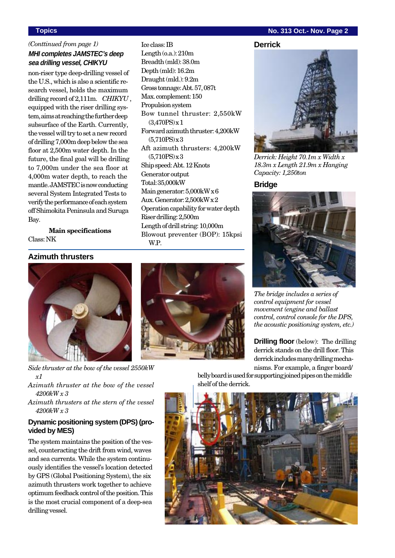## **Topics No. 313 Oct.- Nov. Page 2**

## *(Conttinued from page 1)* **MHI completes JAMSTEC's deep sea drilling vessel, CHIKYU**

non-riser type deep-drilling vessel of the U.S., which is also a scientific research vessel, holds the maximum drilling record of 2,111m. *CHIKYU* , equipped with the riser drilling system, aims at reaching the further deep subsurface of the Earth. Currently, the vessel will try to set a new record of drilling 7,000m deep below the sea floor at 2,500m water depth. In the future, the final goal will be drilling to 7,000m under the sea floor at 4,000m water depth, to reach the mantle. JAMSTEC is now conducting several System Integrated Tests to verify the performance of each system off Shimokita Peninsula and Suruga Bay.

**Main specifications** Class: NK

## **Azimuth thrusters**



*Side thruster at the bow of the vessel 2550kW x1*

*Azimuth thruster at the bow of the vessel 4200kW x 3*

*Azimuth thrusters at the stern of the vessel 4200kW x 3*

## **Dynamic positioning system (DPS) (provided by MES)**

The system maintains the position of the vessel, counteracting the drift from wind, waves and sea currents. While the system continuously identifies the vessel's location detected by GPS (Global Positioning System), the six azimuth thrusters work together to achieve optimum feedback control of the position. This is the most crucial component of a deep-sea drilling vessel.

Ice class: IB Length (o.a.): 210m Breadth (mld): 38.0m Depth (mld): 16.2m Draught (mld.): 9.2m Gross tonnage: Abt. 57, 087t Max. complement: 150 Propulsion system Bow tunnel thruster: 2,550kW  $(3.470PS) \times 1$ Forward azimuth thruster: 4,200kW  $(5,710PS) \times 3$ Aft azimuth thrusters: 4,200kW  $(5.710PS) \times 3$ Ship speed: Abt. 12 Knots Generator output Total: 35,000kW Main generator: 5,000kW x 6 Aux. Generator: 2,500kW x 2 Operation capability for water depth Riser drilling: 2,500m Length of drill string: 10,000m Blowout preventer (BOP): 15kpsi W.P.





*Derrick: Height 70.1m x Width x 18.3m x Length 21.9m x Hanging Capacity: 1,250ton*

**Bridge**



*The bridge includes a series of control equipment for vessel movement (engine and ballast control, control console for the DPS, the acoustic positioning system, etc.)*

**Drilling floor** (below): The drilling derrick stands on the drill floor. This derrick includes many drilling mechanisms. For example, a finger board/

belly board is used for supporting joined pipes on the middle shelf of the derrick.

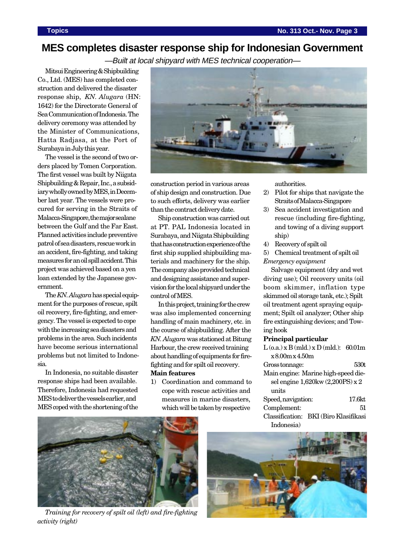## **MES completes disaster response ship for Indonesian Government**

—Built at local shipyard with MES technical cooperation—

Mitsui Engineering & Shipbuilding Co., Ltd. (MES) has completed construction and delivered the disaster response ship, *KN. Alugara* (HN: 1642) for the Directorate General of Sea Communication of Indonesia. The delivery ceremony was attended by the Minister of Communications, Hatta Radjasa, at the Port of Surabaya in July this year.

The vessel is the second of two orders placed by Tomen Corporation. The first vessel was built by Niigata Shipbuilding & Repair, Inc., a subsidiary wholly owned by MES, in December last year. The vessels were procured for serving in the Straits of Malacca-Singapore, the major sealane between the Gulf and the Far East. Planned activities include preventive patrol of sea disasters, rescue work in an accident, fire-fighting, and taking measures for an oil spill accident. This project was achieved based on a yen loan extended by the Japanese government.

The *KN. Alugara* has special equipment for the purposes of rescue, spilt oil recovery, fire-fighting, and emergency. The vessel is expected to cope with the increasing sea disasters and problems in the area. Such incidents have become serious international problems but not limited to Indonesia.

In Indonesia, no suitable disaster response ships had been available. Therefore, Indonesia had requested MES to deliver the vessels earlier, and MES coped with the shortening of the



construction period in various areas of ship design and construction. Due to such efforts, delivery was earlier than the contract delivery date.

Ship construction was carried out at PT. PAL Indonesia located in Surabaya, and Niigata Shipbuilding that has construction experience of the first ship supplied shipbuilding materials and machinery for the ship. The company also provided technical and designing assistance and supervision for the local shipyard under the control of MES.

In this project, training for the crew was also implemented concerning handling of main machinery, etc. in the course of shipbuilding. After the *KN. Alugara* was stationed at Bitung Harbour, the crew received training about handling of equipments for firefighting and for spilt oil recovery. **Main features**

1) Coordination and command to cope with rescue activities and measures in marine disasters, which will be taken by respective

authorities.

- 2) Pilot for ships that navigate the Straits of Malacca-Singapore
- 3) Sea accident investigation and rescue (including fire-fighting, and towing of a diving support ship)
- 4) Recovery of spilt oil

5) Chemical treatment of spilt oil *Emergency equipment*

Salvage equipment (dry and wet diving use); Oil recovery units (oil boom skimmer, inflation type skimmed oil storage tank, etc.); Spilt oil treatment agent spraying equipment; Spilt oil analyzer; Other ship fire extinguishing devices; and Towing hook

### **Principal particular**

| $L$ (o.a.) x B (mld.) x D (mld.): 60.01m |        |
|------------------------------------------|--------|
| $x8.00$ m $x4.50$ m                      |        |
| Gross tonnage:                           | 530t   |
| Main engine: Marine high-speed die-      |        |
| sel engine 1,620kw (2,200PS) x 2         |        |
| units                                    |        |
| Speed, navigation:                       | 17.6kt |
| Complement:                              | 51     |
| Classification: BKI (Biro Klasifikasi    |        |
| Indonesia)                               |        |



*Training for recovery of spilt oil (left) and fire-fighting activity (right)*

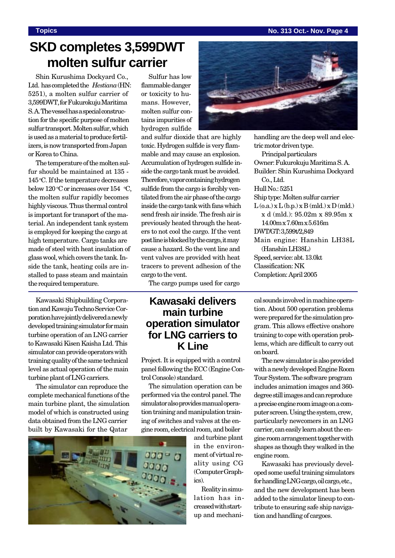## **Topics No. 313 Oct.- Nov. Page 4**

# **SKD completes 3,599DWT molten sulfur carrier**

Shin Kurushima Dockyard Co., Ltd. has completed the *Hestiana* (HN: 5251), a molten sulfur carrier of 3,599DWT, for Fukurokuju Maritima S. A. The vessel has a special construction for the specific purpose of molten sulfur transport. Molten sulfur, which is used as a material to produce fertilizers, is now transported from Japan or Korea to China.

The temperature of the molten sulfur should be maintained at 135 - 145 °C. If the temperature decreases below 120 °C or increases over 154  $~^\circ\mathrm{C},$ the molten sulfur rapidly becomes highly viscous. Thus thermal control is important for transport of the material. An independent tank system is employed for keeping the cargo at high temperature. Cargo tanks are made of steel with heat insulation of glass wool, which covers the tank. Inside the tank, heating coils are installed to pass steam and maintain the required temperature.

Kawasaki Shipbuilding Corporation and Kawaju Techno Service Corporation have jointly delivered a newly developed training simulator for main turbine operation of an LNG carrier to Kawasaki Kisen Kaisha Ltd. This simulator can provide operators with training quality of the same technical level as actual operation of the main turbine plant of LNG carriers.

The simulator can reproduce the complete mechanical functions of the main turbine plant, the simulation model of which is constructed using data obtained from the LNG carrier built by Kawasaki for the Qatar



Sulfur has low flammable danger or toxicity to humans. However, molten sulfur contains impurities of hydrogen sulfide

and sulfur dioxide that are highly toxic. Hydrogen sulfide is very flammable and may cause an explosion. Accumulation of hydrogen sulfide inside the cargo tank must be avoided. Therefore, vapor containing hydrogen sulfide from the cargo is forcibly ventilated from the air phase of the cargo inside the cargo tank with fans which send fresh air inside. The fresh air is previously heated through the heaters to not cool the cargo. If the vent post line is blocked by the cargo, it may cause a hazard. So the vent line and vent valves are provided with heat tracers to prevent adhesion of the cargo to the vent.

The cargo pumps used for cargo

## **Kawasaki delivers main turbine operation simulator for LNG carriers to K Line**

Project. It is equipped with a control panel following the ECC (Engine Control Console) standard.

The simulation operation can be performed via the control panel. The simulator also provides manual operation training and manipulation training of switches and valves at the engine room, electrical room, and boiler

> and turbine plant in the environment of virtual reality using CG (Computer Graphics).

Reality in simulation has increased with startup and mechani-



handling are the deep well and electric motor driven type. Principal particulars Owner: Fukurokuju Maritima S. A. Builder: Shin Kurushima Dockyard Co., Ltd. Hull No.: 5251 Ship type: Molten sulfur carrier  $L(o.a.) x L(b.p.) x B (mld.) x D (mld.)$ x d (mld.): 95.02m x 89.95m x 14.00m x 7.60m x 5.616m DWT/GT: 3,599t/2,849 Main engine: Hanshin LH38L (Hanshin LH38L) Speed, service: abt. 13.0kt Classification: NK Completion: April 2005

cal sounds involved in machine operation. About 500 operation problems were prepared for the simulation program. This allows effective onshore training to cope with operation problems, which are difficult to carry out on board.

The new simulator is also provided with a newly developed Engine Room Tour System. The software program includes animation images and 360 degree still images and can reproduce a precise engine room image on a computer screen. Using the system, crew, particularly newcomers in an LNG carrier, can easily learn about the engine room arrangement together with shapes as though they walked in the engine room.

Kawasaki has previously developed some useful training simulators for handling LNG cargo, oil cargo, etc., and the new development has been added to the simulator lineup to contribute to ensuring safe ship navigation and handling of cargoes.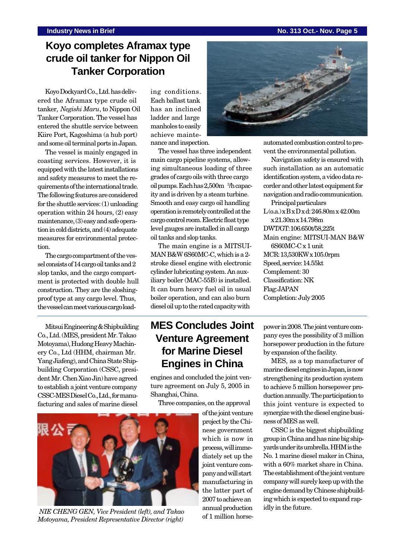## **Industry News in Brief No. 313 Oct.- Nov. Page 5**

# **Koyo completes Aframax type crude oil tanker for Nippon Oil Tanker Corporation**

Koyo Dockyard Co., Ltd. has delivered the Aframax type crude oil tanker, *Negishi Maru*, to Nippon Oil Tanker Corporation. The vessel has entered the shuttle service between Kiire Port, Kagoshima (a hub port) and some oil terminal ports in Japan.

The vessel is mainly engaged in coasting services. However, it is equipped with the latest installations and safety measures to meet the requirements of the international trade. The following features are considered for the shuttle services: (1) unloading operation within 24 hours, (2) easy maintenance, (3) easy and safe operation in cold districts, and (4) adequate measures for environmental protection.

The cargo compartment of the vessel consists of 14 cargo oil tanks and 2 slop tanks, and the cargo compartment is protected with double hull construction. They are the sloshingproof type at any cargo level. Thus, the vessel can meet various cargo load-

Mitsui Engineering & Shipbuilding Co., Ltd. (MES, president Mr. Takao Motoyama), Hudong Heavy Machinery Co., Ltd (HHM, chairman Mr. Yang Jiafeng), and China State Shipbuilding Corporation (CSSC, president Mr. Chen Xiao Jin) have agreed to establish a joint venture company CSSC-MES Diesel Co., Ltd., for manufacturing and sales of marine diesel

ing conditions. Each ballast tank has an inclined ladder and large manholes to easily achieve maintenance and inspection.

The vessel has three independent main cargo pipeline systems, allowing simultaneous loading of three grades of cargo oils with three cargo oil pumps. Each has 2,500m <sup>3</sup> /h capacity and is driven by a steam turbine. Smooth and easy cargo oil handling operation is remotely controlled at the cargo control room. Electric float type level gauges are installed in all cargo oil tanks and slop tanks.

The main engine is a MITSUI-MAN B&W 6S60MC-C, which is a 2 stroke diesel engine with electronic cylinder lubricating system. An auxiliary boiler (MAC-55B) is installed. It can burn heavy fuel oil in usual boiler operation, and can also burn diesel oil up to the rated capacity with

# **MES Concludes Joint Venture Agreement for Marine Diesel Engines in China**

engines and concluded the joint venture agreement on July 5, 2005 in Shanghai, China.

Three companies, on the approval

of the joint venture project by the Chinese government which is now in process, will immediately set up the joint venture company and will start manufacturing in the latter part of 2007 to achieve an annual production of 1 million horse-



automated combustion control to prevent the environmental pollution.

Navigation safety is ensured with such installation as an automatic identification system, a video data recorder and other latest equipment for navigation and radio communication.

Principal particulars  $L$ (o.a.) x  $B$  x  $D$  x d: 246.80m x 42.00m x 21.30m x 14.798m DWT/GT: 106.650t/58,225t Main engine: MITSUI-MAN B&W 6S60MC-C x 1 unit MCR: 13,530KW x 105.0rpm Speed, service: 14.55kt Complement: 30 Classification: NK Flag: JAPAN Completion: July 2005

power in 2008. The joint venture company eyes the possibility of 3 million horsepower production in the future by expansion of the facility.

MES, as a top manufacturer of marine diesel engines in Japan, is now strengthening its production system to achieve 5 million horsepower production annually. The participation to this joint venture is expected to synergize with the diesel engine business of MES as well.

CSSC is the biggest shipbuilding group in China and has nine big shipyards under its umbrella. HHM is the No. 1 marine diesel maker in China, with a 60% market share in China. The establishment of the joint venture company will surely keep up with the engine demand by Chinese shipbuilding which is expected to expand rap-



idly in the future. *NIE CHENG GEN, Vice President (left), and Takao Motoyama, President Representative Director (right)*